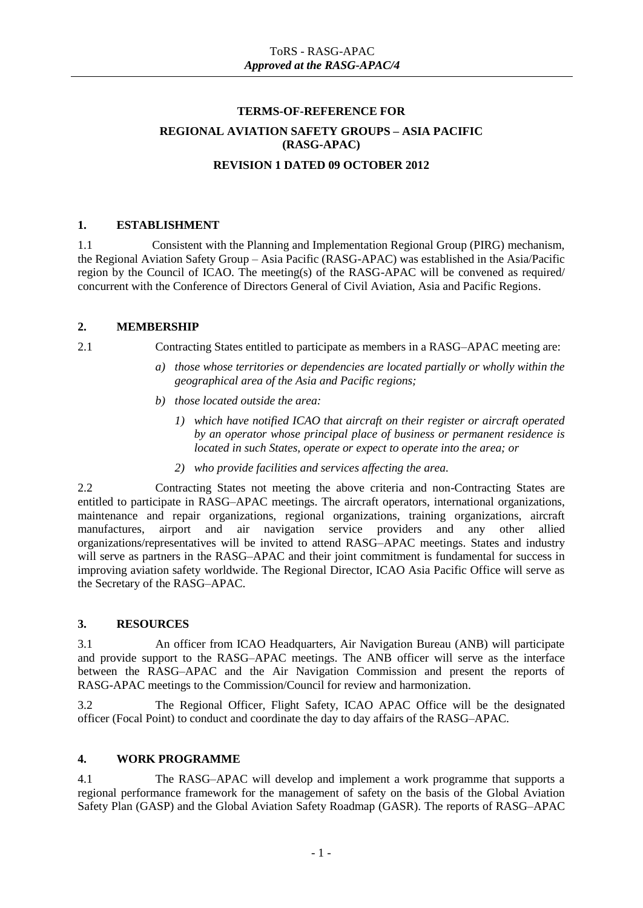# **TERMS-OF-REFERENCE FOR REGIONAL AVIATION SAFETY GROUPS – ASIA PACIFIC (RASG-APAC) REVISION 1 DATED 09 OCTOBER 2012**

#### **1. ESTABLISHMENT**

1.1 Consistent with the Planning and Implementation Regional Group (PIRG) mechanism, the Regional Aviation Safety Group – Asia Pacific (RASG-APAC) was established in the Asia/Pacific region by the Council of ICAO. The meeting(s) of the RASG-APAC will be convened as required/ concurrent with the Conference of Directors General of Civil Aviation, Asia and Pacific Regions.

## **2. MEMBERSHIP**

2.1 Contracting States entitled to participate as members in a RASG–APAC meeting are:

- *a) those whose territories or dependencies are located partially or wholly within the geographical area of the Asia and Pacific regions;*
- *b) those located outside the area:*
	- *1) which have notified ICAO that aircraft on their register or aircraft operated by an operator whose principal place of business or permanent residence is located in such States, operate or expect to operate into the area; or*
	- *2) who provide facilities and services affecting the area.*

2.2 Contracting States not meeting the above criteria and non-Contracting States are entitled to participate in RASG–APAC meetings. The aircraft operators, international organizations, maintenance and repair organizations, regional organizations, training organizations, aircraft manufactures, airport and air navigation service providers and any other allied organizations/representatives will be invited to attend RASG–APAC meetings. States and industry will serve as partners in the RASG–APAC and their joint commitment is fundamental for success in improving aviation safety worldwide. The Regional Director, ICAO Asia Pacific Office will serve as the Secretary of the RASG–APAC.

# **3. RESOURCES**

3.1 An officer from ICAO Headquarters, Air Navigation Bureau (ANB) will participate and provide support to the RASG–APAC meetings. The ANB officer will serve as the interface between the RASG–APAC and the Air Navigation Commission and present the reports of RASG-APAC meetings to the Commission/Council for review and harmonization.

3.2 The Regional Officer, Flight Safety, ICAO APAC Office will be the designated officer (Focal Point) to conduct and coordinate the day to day affairs of the RASG–APAC.

# **4. WORK PROGRAMME**

4.1 The RASG–APAC will develop and implement a work programme that supports a regional performance framework for the management of safety on the basis of the Global Aviation Safety Plan (GASP) and the Global Aviation Safety Roadmap (GASR). The reports of RASG–APAC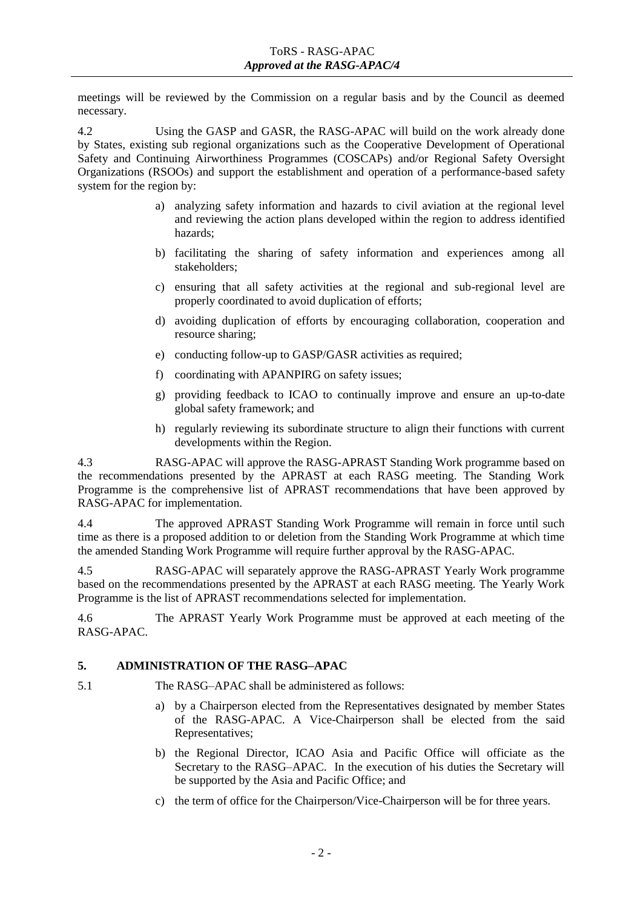meetings will be reviewed by the Commission on a regular basis and by the Council as deemed necessary.

4.2 Using the GASP and GASR, the RASG-APAC will build on the work already done by States, existing sub regional organizations such as the Cooperative Development of Operational Safety and Continuing Airworthiness Programmes (COSCAPs) and/or Regional Safety Oversight Organizations (RSOOs) and support the establishment and operation of a performance-based safety system for the region by:

- a) analyzing safety information and hazards to civil aviation at the regional level and reviewing the action plans developed within the region to address identified hazards;
- b) facilitating the sharing of safety information and experiences among all stakeholders;
- c) ensuring that all safety activities at the regional and sub-regional level are properly coordinated to avoid duplication of efforts;
- d) avoiding duplication of efforts by encouraging collaboration, cooperation and resource sharing;
- e) conducting follow-up to GASP/GASR activities as required;
- f) coordinating with APANPIRG on safety issues;
- g) providing feedback to ICAO to continually improve and ensure an up-to-date global safety framework; and
- h) regularly reviewing its subordinate structure to align their functions with current developments within the Region.

4.3 RASG-APAC will approve the RASG-APRAST Standing Work programme based on the recommendations presented by the APRAST at each RASG meeting. The Standing Work Programme is the comprehensive list of APRAST recommendations that have been approved by RASG-APAC for implementation.

4.4 The approved APRAST Standing Work Programme will remain in force until such time as there is a proposed addition to or deletion from the Standing Work Programme at which time the amended Standing Work Programme will require further approval by the RASG-APAC.

4.5 RASG-APAC will separately approve the RASG-APRAST Yearly Work programme based on the recommendations presented by the APRAST at each RASG meeting. The Yearly Work Programme is the list of APRAST recommendations selected for implementation.

4.6 The APRAST Yearly Work Programme must be approved at each meeting of the RASG-APAC.

# **5. ADMINISTRATION OF THE RASG–APAC**

5.1 The RASG–APAC shall be administered as follows:

- a) by a Chairperson elected from the Representatives designated by member States of the RASG-APAC. A Vice-Chairperson shall be elected from the said Representatives;
- b) the Regional Director, ICAO Asia and Pacific Office will officiate as the Secretary to the RASG–APAC. In the execution of his duties the Secretary will be supported by the Asia and Pacific Office; and
- c) the term of office for the Chairperson/Vice-Chairperson will be for three years.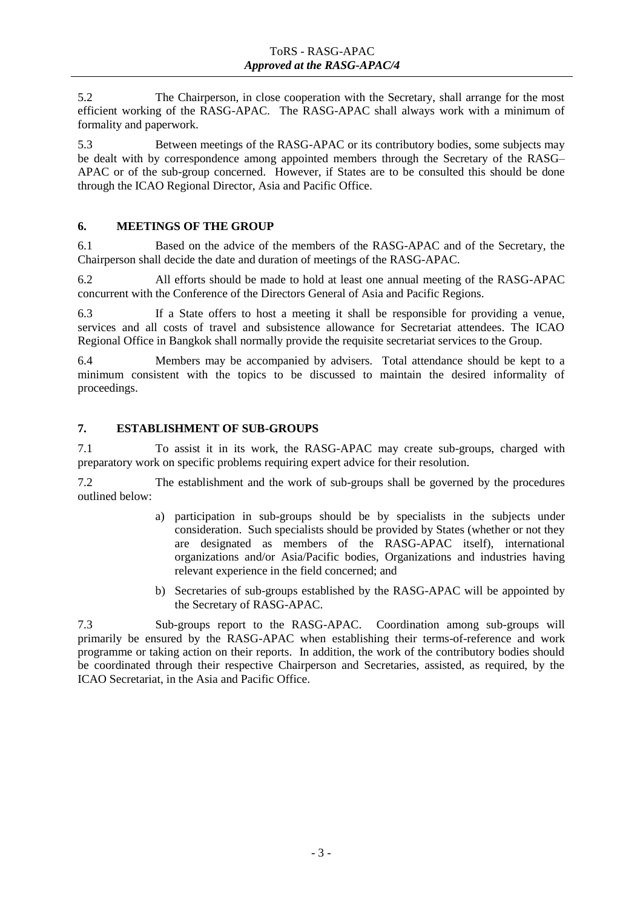5.2 The Chairperson, in close cooperation with the Secretary, shall arrange for the most efficient working of the RASG-APAC. The RASG-APAC shall always work with a minimum of formality and paperwork.

5.3 Between meetings of the RASG-APAC or its contributory bodies, some subjects may be dealt with by correspondence among appointed members through the Secretary of the RASG– APAC or of the sub-group concerned. However, if States are to be consulted this should be done through the ICAO Regional Director, Asia and Pacific Office.

## **6. MEETINGS OF THE GROUP**

6.1 Based on the advice of the members of the RASG-APAC and of the Secretary, the Chairperson shall decide the date and duration of meetings of the RASG-APAC.

6.2 All efforts should be made to hold at least one annual meeting of the RASG-APAC concurrent with the Conference of the Directors General of Asia and Pacific Regions.

6.3 If a State offers to host a meeting it shall be responsible for providing a venue, services and all costs of travel and subsistence allowance for Secretariat attendees. The ICAO Regional Office in Bangkok shall normally provide the requisite secretariat services to the Group.

6.4 Members may be accompanied by advisers. Total attendance should be kept to a minimum consistent with the topics to be discussed to maintain the desired informality of proceedings.

## **7. ESTABLISHMENT OF SUB-GROUPS**

7.1 To assist it in its work, the RASG-APAC may create sub-groups, charged with preparatory work on specific problems requiring expert advice for their resolution.

7.2 The establishment and the work of sub-groups shall be governed by the procedures outlined below:

- a) participation in sub-groups should be by specialists in the subjects under consideration. Such specialists should be provided by States (whether or not they are designated as members of the RASG-APAC itself), international organizations and/or Asia/Pacific bodies, Organizations and industries having relevant experience in the field concerned; and
- b) Secretaries of sub-groups established by the RASG-APAC will be appointed by the Secretary of RASG-APAC.

7.3 Sub-groups report to the RASG-APAC. Coordination among sub-groups will primarily be ensured by the RASG-APAC when establishing their terms-of-reference and work programme or taking action on their reports. In addition, the work of the contributory bodies should be coordinated through their respective Chairperson and Secretaries, assisted, as required, by the ICAO Secretariat, in the Asia and Pacific Office.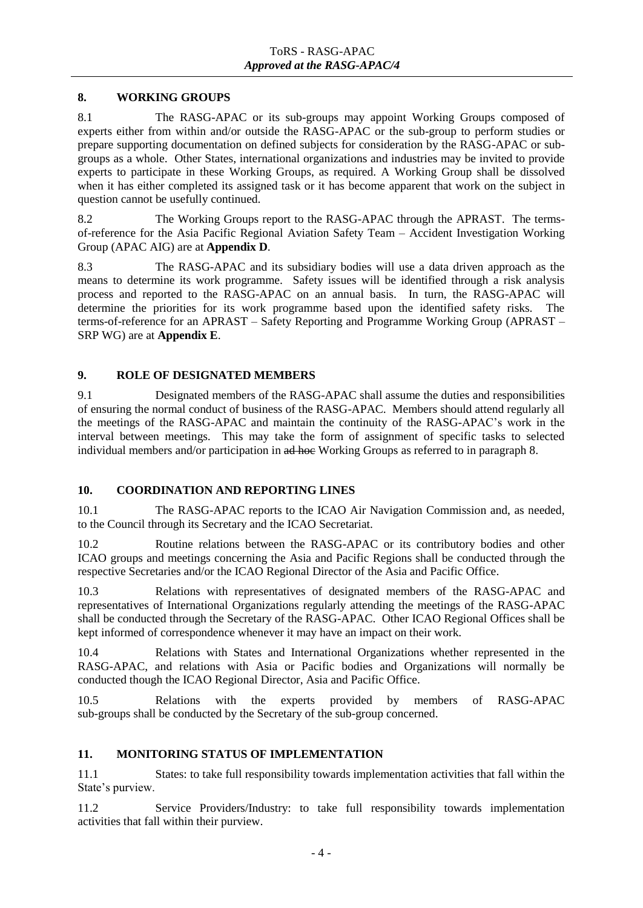# **8. WORKING GROUPS**

8.1 The RASG-APAC or its sub-groups may appoint Working Groups composed of experts either from within and/or outside the RASG-APAC or the sub-group to perform studies or prepare supporting documentation on defined subjects for consideration by the RASG-APAC or subgroups as a whole. Other States, international organizations and industries may be invited to provide experts to participate in these Working Groups, as required. A Working Group shall be dissolved when it has either completed its assigned task or it has become apparent that work on the subject in question cannot be usefully continued.

8.2 The Working Groups report to the RASG-APAC through the APRAST. The termsof-reference for the Asia Pacific Regional Aviation Safety Team – Accident Investigation Working Group (APAC AIG) are at **Appendix D**.

8.3 The RASG-APAC and its subsidiary bodies will use a data driven approach as the means to determine its work programme. Safety issues will be identified through a risk analysis process and reported to the RASG-APAC on an annual basis. In turn, the RASG-APAC will determine the priorities for its work programme based upon the identified safety risks. The terms-of-reference for an APRAST – Safety Reporting and Programme Working Group (APRAST – SRP WG) are at **Appendix E**.

# **9. ROLE OF DESIGNATED MEMBERS**

9.1 Designated members of the RASG-APAC shall assume the duties and responsibilities of ensuring the normal conduct of business of the RASG-APAC. Members should attend regularly all the meetings of the RASG-APAC and maintain the continuity of the RASG-APAC's work in the interval between meetings. This may take the form of assignment of specific tasks to selected individual members and/or participation in ad hoc Working Groups as referred to in paragraph 8.

# **10. COORDINATION AND REPORTING LINES**

10.1 The RASG-APAC reports to the ICAO Air Navigation Commission and, as needed, to the Council through its Secretary and the ICAO Secretariat.

10.2 Routine relations between the RASG-APAC or its contributory bodies and other ICAO groups and meetings concerning the Asia and Pacific Regions shall be conducted through the respective Secretaries and/or the ICAO Regional Director of the Asia and Pacific Office.

10.3 Relations with representatives of designated members of the RASG-APAC and representatives of International Organizations regularly attending the meetings of the RASG-APAC shall be conducted through the Secretary of the RASG-APAC. Other ICAO Regional Offices shall be kept informed of correspondence whenever it may have an impact on their work.

10.4 Relations with States and International Organizations whether represented in the RASG-APAC, and relations with Asia or Pacific bodies and Organizations will normally be conducted though the ICAO Regional Director, Asia and Pacific Office.

10.5 Relations with the experts provided by members of RASG-APAC sub-groups shall be conducted by the Secretary of the sub-group concerned.

#### **11. MONITORING STATUS OF IMPLEMENTATION**

11.1 States: to take full responsibility towards implementation activities that fall within the State's purview.

11.2 Service Providers/Industry: to take full responsibility towards implementation activities that fall within their purview.